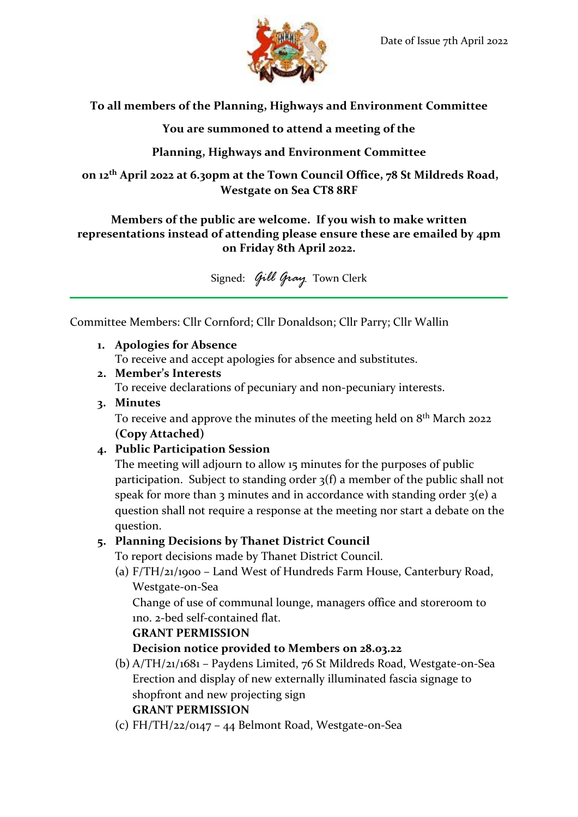

## **To all members of the Planning, Highways and Environment Committee**

**You are summoned to attend a meeting of the**

## **Planning, Highways and Environment Committee**

**on 12th April 2022 at 6.30pm at the Town Council Office, 78 St Mildreds Road, Westgate on Sea CT8 8RF**

#### **Members of the public are welcome. If you wish to make written representations instead of attending please ensure these are emailed by 4pm on Friday 8th April 2022.**

Signed: *Gill Gray* Town Clerk

Committee Members: Cllr Cornford; Cllr Donaldson; Cllr Parry; Cllr Wallin

**1. Apologies for Absence**

To receive and accept apologies for absence and substitutes.

**2. Member's Interests**

To receive declarations of pecuniary and non-pecuniary interests.

**3. Minutes**

To receive and approve the minutes of the meeting held on  $8^{\text{th}}$  March 2022 **(Copy Attached)**

## **4. Public Participation Session**

The meeting will adjourn to allow 15 minutes for the purposes of public participation. Subject to standing order 3(f) a member of the public shall not speak for more than 3 minutes and in accordance with standing order  $3(e)$  a question shall not require a response at the meeting nor start a debate on the question.

# **5. Planning Decisions by Thanet District Council**

To report decisions made by Thanet District Council.

(a) F/TH/21/1900 – Land West of Hundreds Farm House, Canterbury Road, Westgate-on-Sea

Change of use of communal lounge, managers office and storeroom to 1no. 2-bed self-contained flat.

## **GRANT PERMISSION**

# **Decision notice provided to Members on 28.03.22**

(b) A/TH/21/1681 – Paydens Limited, 76 St Mildreds Road, Westgate-on-Sea Erection and display of new externally illuminated fascia signage to shopfront and new projecting sign

# **GRANT PERMISSION**

(c) FH/TH/22/0147 – 44 Belmont Road, Westgate-on-Sea